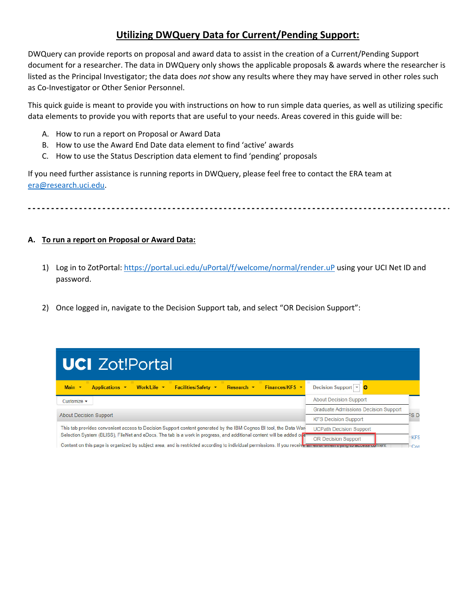## **Utilizing DWQuery Data for Current/Pending Support:**

DWQuery can provide reports on proposal and award data to assist in the creation of a Current/Pending Support document for a researcher. The data in DWQuery only shows the applicable proposals & awards where the researcher is listed as the Principal Investigator; the data does *not* show any results where they may have served in other roles such as Co-Investigator or Other Senior Personnel.

This quick guide is meant to provide you with instructions on how to run simple data queries, as well as utilizing specific data elements to provide you with reports that are useful to your needs. Areas covered in this guide will be:

- A. How to run a report on Proposal or Award Data
- B. How to use the Award End Date data element to find 'active' awards
- C. How to use the Status Description data element to find 'pending' proposals

If you need further assistance is running reports in DWQuery, please feel free to contact the ERA team at era@research.uci.edu.

## **A. To run a report on Proposal or Award Data:**

- 1) Log in to ZotPortal: https://portal.uci.edu/uPortal/f/welcome/normal/render.uP using your UCI Net ID and password.
- 2) Once logged in, navigate to the Decision Support tab, and select "OR Decision Support":

| <b>UCI</b> Zot!Portal                                                                                                                                         |                                             |                 |
|---------------------------------------------------------------------------------------------------------------------------------------------------------------|---------------------------------------------|-----------------|
| Finances/KFS $\star$<br>Main $\blacktriangledown$<br>Applications •<br>Work/Life v<br><b>Facilities/Safety ▼</b><br>Research $\blacktriangledown$             | Decision Support V                          |                 |
| Customize $\sim$                                                                                                                                              | <b>About Decision Support</b>               |                 |
|                                                                                                                                                               | <b>Graduate Admissions Decision Support</b> |                 |
| <b>About Decision Support</b>                                                                                                                                 | <b>KFS Decision Support</b>                 | FS Di           |
| This tab provides convenient access to Decision Support content generated by the IBM Cognos BI tool, the Data War                                             | <b>UCPath Decision Support</b>              |                 |
| Selection System (BLISS). FileNet and eDocs. The tab is a work in progress, and additional content will be added over                                         | <b>OR Decision Support</b>                  | <b>KFS</b>      |
| Content on this page is organized by subject area, and is restricted according to individual permissions. If you receive an enor when ayong to access content |                                             | Co <sub>0</sub> |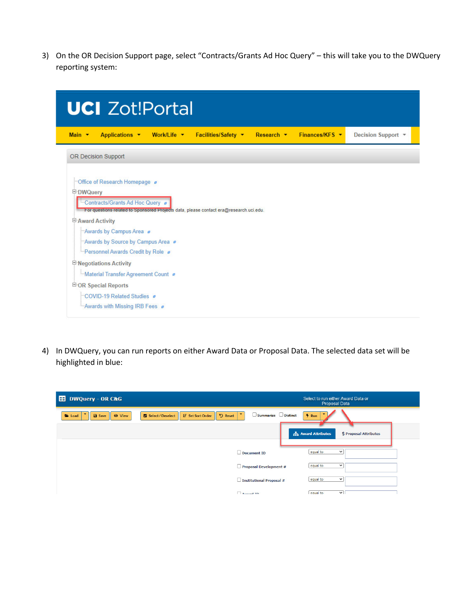3) On the OR Decision Support page, select "Contracts/Grants Ad Hoc Query" – this will take you to the DWQuery reporting system:

| <b>UCI</b> Zot!Portal                                                                                                                                                                                                                                                                                       |                    |
|-------------------------------------------------------------------------------------------------------------------------------------------------------------------------------------------------------------------------------------------------------------------------------------------------------------|--------------------|
| Finances/KFS $\star$<br>Main $\star$<br>Applications v<br>Work/Life v<br>Facilities/Safety v<br>Research $\blacktriangledown$                                                                                                                                                                               | Decision Support * |
| <b>OR Decision Support</b>                                                                                                                                                                                                                                                                                  |                    |
| "Office of Research Homepage #<br><b>DWQuery</b><br>Contracts/Grants Ad Hoc Query<br>For questions related to Sponsored Projects data, please contact era@research.uci.edu.<br><b>E-Award Activity</b><br>"Awards by Campus Area<br>"Awards by Source by Campus Area<br>E-Personnel Awards Credit by Role a |                    |
| <b>E</b> Negotiations Activity                                                                                                                                                                                                                                                                              |                    |
| i-Material Transfer Agreement Count<br><b>E-OR Special Reports</b><br>"COVID-19 Related Studies #<br>Awards with Missing IRB Fees a                                                                                                                                                                         |                    |

4) In DWQuery, you can run reports on either Award Data or Proposal Data. The selected data set will be highlighted in blue:

| <b>ED DWQuery - OR C&amp;G</b>                     |                                                                                         |                                                           | Select to run either Award Data or<br>Proposal Data |
|----------------------------------------------------|-----------------------------------------------------------------------------------------|-----------------------------------------------------------|-----------------------------------------------------|
| ۰<br><b>Load</b><br><b>B</b> Save<br><b>⊙</b> View | $\blacktriangledown$<br>Select / Deselect<br><b>IF</b> Set Sort Order<br><b>り</b> Reset | $\overline{\phantom{0}}$<br>Summarize Distinct<br>$#$ Run |                                                     |
|                                                    |                                                                                         | <b>Award Attributes</b>                                   | \$ Proposal Attributes                              |
|                                                    | $\Box$ Document ID                                                                      | equal to                                                  | $\checkmark$                                        |
|                                                    |                                                                                         | equal to<br>Proposal Development #                        | $\checkmark$                                        |
|                                                    |                                                                                         | equal to<br>Institutional Proposal #                      | $\checkmark$                                        |
|                                                    | $\Box$ Aurord TD                                                                        | equal to                                                  | $\checkmark$                                        |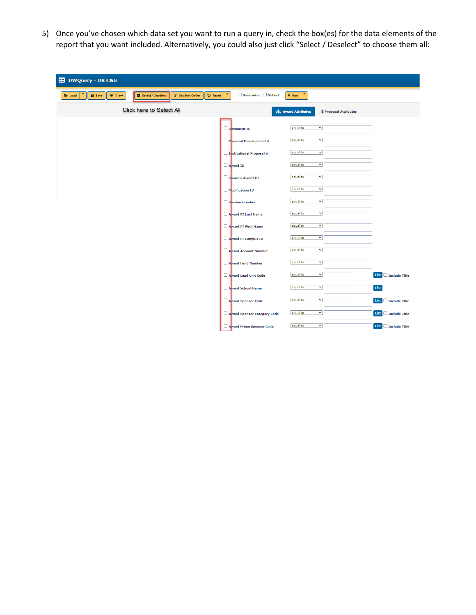5) Once you've chosen which data set you want to run a query in, check the box(es) for the data elements of the report that you want included. Alternatively, you could also just click "Select / Deselect" to choose them all:

| <b>ED</b> DWQuery - OR C&G                                                                                  |                                            |                                                   |                           |
|-------------------------------------------------------------------------------------------------------------|--------------------------------------------|---------------------------------------------------|---------------------------|
| IF Set Sort Order<br>Select / Deselect<br><b>つ</b> Reset<br><b>a</b> Save<br><b>⊙</b> View<br><b>E</b> Load | $\blacktriangledown$<br>Summarize Distinct | $\blacktriangledown$<br>$#$ Run                   |                           |
| Click here to Select All                                                                                    |                                            | <b>Award Attributes</b><br>\$ Proposal Attributes |                           |
|                                                                                                             | $\Box$ D <sub>pcument</sub> ID             | $\check{~}$<br>equal to                           |                           |
|                                                                                                             | $\Box$ Poposal Development #               | $\checkmark$<br>equal to                          |                           |
|                                                                                                             | Institutional Proposal #                   | $\check{~}$<br>equal to                           |                           |
|                                                                                                             | Award ID                                   | $\check{~}$<br>equal to                           |                           |
|                                                                                                             | Sponsor Award ID                           | $\check{~}$<br>equal to                           |                           |
|                                                                                                             | Modification ID                            | $\checkmark$<br>equal to                          |                           |
|                                                                                                             | Varsion Number                             | $\check{~}$<br>equal to                           |                           |
|                                                                                                             | Award PI Last Name                         | $\checkmark$<br>equal to                          |                           |
|                                                                                                             | Award PI First Name                        | $\checkmark$<br>equal to                          |                           |
|                                                                                                             | Award PI Campus ID                         | $\checkmark$<br>equal to                          |                           |
|                                                                                                             | Award Account Number                       | $\checkmark$<br>equal to                          |                           |
|                                                                                                             | Award Fund Number                          | $\checkmark$<br>equal to                          |                           |
|                                                                                                             | Award Lead Unit Code                       | $\checkmark$<br>equal to                          | List $\Box$ Include Title |
|                                                                                                             | Award School Name                          | $\checkmark$<br>equal to                          | List                      |
|                                                                                                             | Award Sponsor Code                         | $\checkmark$<br>equal to                          | List $\Box$ Include Title |
|                                                                                                             | Award Sponsor Category Code                | $\checkmark$<br>equal to                          | List $\Box$ Include Title |
|                                                                                                             | Award Prime Sponsor Code                   | $\checkmark$<br>equal to                          | List $\Box$ Include Title |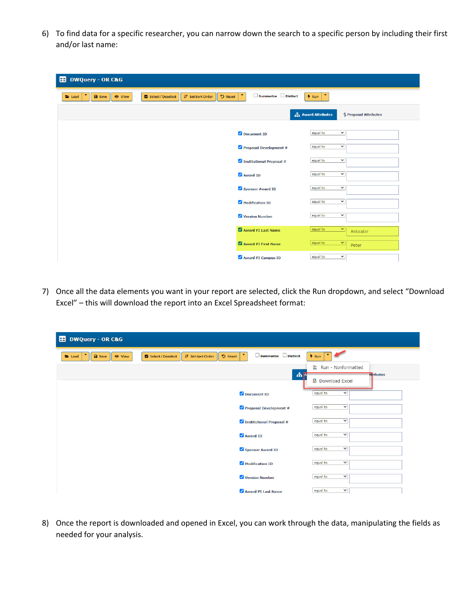6) To find data for a specific researcher, you can narrow down the search to a specific person by including their first and/or last name:

| <b>ED</b> DWQuery - OR C&G                                                                                         |                          |                          |                        |
|--------------------------------------------------------------------------------------------------------------------|--------------------------|--------------------------|------------------------|
| Select / Deselect<br><b>IF</b> Set Sort Order<br><b>り Reset</b><br><b>a</b> Save<br><b>⊙</b> View<br><b>E</b> Load | Summarize Distinct       | ٠<br>$#$ Run             |                        |
|                                                                                                                    |                          | <b>Award Attributes</b>  | \$ Proposal Attributes |
|                                                                                                                    | Document ID              | $\checkmark$<br>equal to |                        |
|                                                                                                                    | Proposal Development #   | $\checkmark$<br>equal to |                        |
|                                                                                                                    | Institutional Proposal # | equal to<br>$\check{~}$  |                        |
|                                                                                                                    | Award ID                 | equal to<br>$\check{~}$  |                        |
|                                                                                                                    | Sponsor Award ID         | $\checkmark$<br>equal to |                        |
|                                                                                                                    | Modification ID          | $\checkmark$<br>equal to |                        |
|                                                                                                                    | Version Number           | $\checkmark$<br>equal to |                        |
|                                                                                                                    | Award PI Last Name       | equal to<br>$\checkmark$ | Anteater               |
|                                                                                                                    | Award PI First Name      | equal to<br>$\checkmark$ | Peter                  |
|                                                                                                                    | Award PI Campus ID       | equal to<br>$\checkmark$ |                        |

7) Once all the data elements you want in your report are selected, click the Run dropdown, and select "Download Excel" – this will download the report into an Excel Spreadsheet format:

| <b>DWQuery - OR C&amp;G</b><br>æ                                                                                        |                          |                                   |
|-------------------------------------------------------------------------------------------------------------------------|--------------------------|-----------------------------------|
| ٠<br><b>IF</b> Set Sort Order<br><b>り Reset</b><br>Select / Deselect<br><b>B</b> Save<br><b>E</b> Load<br><b>O</b> View | ٠<br>Summarize Distinct  | $h$ Run                           |
|                                                                                                                         | H                        | 로 Run - Nonformatted<br>ttributes |
|                                                                                                                         |                          | <b>R</b> Download Excel           |
|                                                                                                                         | Document ID              | $\checkmark$<br>equal to          |
|                                                                                                                         | Proposal Development #   | equal to<br>$\checkmark$          |
|                                                                                                                         | Institutional Proposal # | equal to<br>$\checkmark$          |
|                                                                                                                         | Award ID                 | equal to<br>$\checkmark$          |
|                                                                                                                         | Sponsor Award ID         | equal to<br>$\checkmark$          |
|                                                                                                                         | Modification ID          | equal to<br>$\check{~}$           |
|                                                                                                                         | Version Number           | equal to<br>$\checkmark$          |
|                                                                                                                         | Award PI Last Name       | $\check{~}$<br>equal to           |

8) Once the report is downloaded and opened in Excel, you can work through the data, manipulating the fields as needed for your analysis.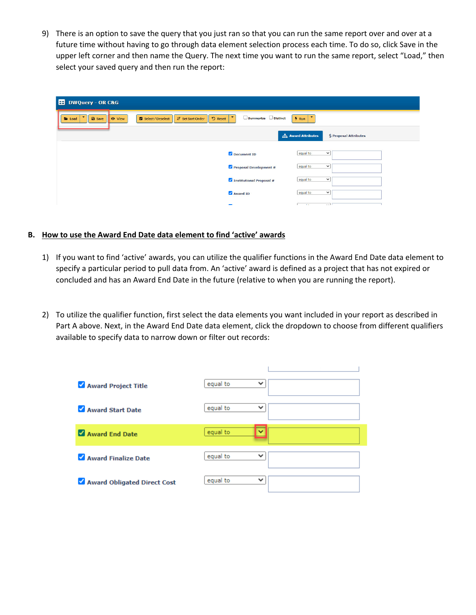9) There is an option to save the query that you just ran so that you can run the same report over and over at a future time without having to go through data element selection process each time. To do so, click Save in the upper left corner and then name the Query. The next time you want to run the same report, select "Load," then select your saved query and then run the report:

| ED DWQuery - OR C&G                                    |               |                   |                          |                                            |                          |                                 |                        |  |
|--------------------------------------------------------|---------------|-------------------|--------------------------|--------------------------------------------|--------------------------|---------------------------------|------------------------|--|
| $\blacktriangledown$<br><b>E</b> Load<br><b>a</b> Save | <b>O</b> View | Select / Deselect | <b>IF</b> Set Sort Order | $\overline{\phantom{a}}$<br><b>り</b> Reset | Summarize Distinct       | $\blacktriangledown$<br>$#$ Run |                        |  |
|                                                        |               |                   |                          |                                            |                          | <b>A</b> Award Attributes       | \$ Proposal Attributes |  |
|                                                        |               |                   |                          |                                            | Document ID              | equal to                        | $\check{~}$            |  |
|                                                        |               |                   |                          |                                            | Proposal Development #   | equal to                        | $\check{~}$            |  |
|                                                        |               |                   |                          |                                            | Institutional Proposal # | equal to                        | $\check{~}$            |  |
|                                                        |               |                   |                          | Award ID                                   |                          | equal to                        | $\check{~}$            |  |
|                                                        |               |                   |                          | $\sim$                                     |                          | 1000                            | $-11$                  |  |

## **B. How to use the Award End Date data element to find 'active' awards**

- 1) If you want to find 'active' awards, you can utilize the qualifier functions in the Award End Date data element to specify a particular period to pull data from. An 'active' award is defined as a project that has not expired or concluded and has an Award End Date in the future (relative to when you are running the report).
- 2) To utilize the qualifier function, first select the data elements you want included in your report as described in Part A above. Next, in the Award End Date data element, click the dropdown to choose from different qualifiers available to specify data to narrow down or filter out records:

| Award Project Title                             | equal to<br>v            |  |
|-------------------------------------------------|--------------------------|--|
| $\blacktriangledown$<br><b>Award Start Date</b> | equal to<br>v            |  |
| Award End Date                                  | equal to<br>◡            |  |
| Award Finalize Date                             | equal to<br>v            |  |
| Award Obligated Direct Cost                     | equal to<br>$\checkmark$ |  |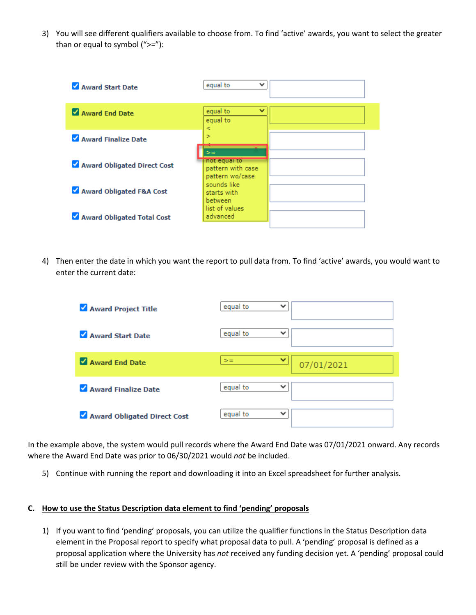3) You will see different qualifiers available to choose from. To find 'active' awards, you want to select the greater than or equal to symbol  $(">=")$ :



4) Then enter the date in which you want the report to pull data from. To find 'active' awards, you would want to enter the current date:

| Award Project Title           | equal to<br>$\checkmark$ |            |
|-------------------------------|--------------------------|------------|
| Award Start Date              | equal to<br>$\checkmark$ |            |
| Award End Date                | $\checkmark$<br>$>=$     | 07/01/2021 |
| Award Finalize Date           | equal to<br>$\checkmark$ |            |
| M Award Obligated Direct Cost | equal to<br>$\checkmark$ |            |

In the example above, the system would pull records where the Award End Date was 07/01/2021 onward. Any records where the Award End Date was prior to 06/30/2021 would *not* be included.

5) Continue with running the report and downloading it into an Excel spreadsheet for further analysis.

## **C. How to use the Status Description data element to find 'pending' proposals**

1) If you want to find 'pending' proposals, you can utilize the qualifier functions in the Status Description data element in the Proposal report to specify what proposal data to pull. A 'pending' proposal is defined as a proposal application where the University has *not* received any funding decision yet. A 'pending' proposal could still be under review with the Sponsor agency.